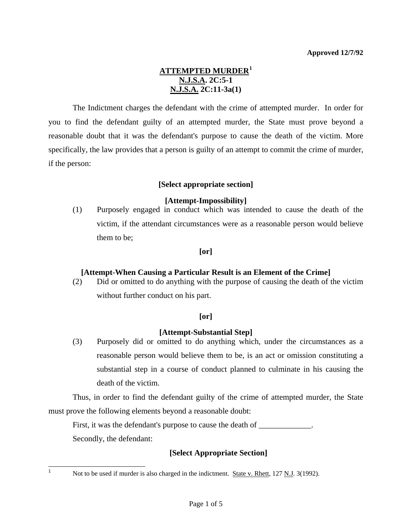## **ATTEMPTED MURDER[1](#page-0-0) N.J.S.A. 2C:5-1 N.J.S.A. 2C:11-3a(1)**

 The Indictment charges the defendant with the crime of attempted murder. In order for you to find the defendant guilty of an attempted murder, the State must prove beyond a reasonable doubt that it was the defendant's purpose to cause the death of the victim. More specifically, the law provides that a person is guilty of an attempt to commit the crime of murder, if the person:

## **[Select appropriate section]**

## **[Attempt-Impossibility]**

(1) Purposely engaged in conduct which was intended to cause the death of the victim, if the attendant circumstances were as a reasonable person would believe them to be;

### **[or]**

### **[Attempt-When Causing a Particular Result is an Element of the Crime]**

(2) Did or omitted to do anything with the purpose of causing the death of the victim without further conduct on his part.

## **[or]**

### **[Attempt-Substantial Step]**

(3) Purposely did or omitted to do anything which, under the circumstances as a reasonable person would believe them to be, is an act or omission constituting a substantial step in a course of conduct planned to culminate in his causing the death of the victim.

<span id="page-0-1"></span> Thus, in order to find the defendant guilty of the crime of attempted murder, the State must prove the following elements beyond a reasonable doubt:

First, it was the defendant's purpose to cause the death of \_\_\_\_\_\_\_\_\_\_\_\_\_.

Secondly, the defendant:

## **[Select Appropriate Section]**

<span id="page-0-0"></span> $\frac{1}{1}$ 

Not to be used if murder is also charged in the indictment. State v. Rhett, 127 N.J. 3(1992).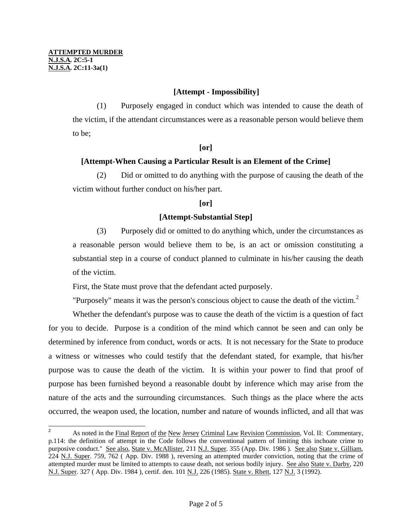## **[Attempt - Impossibility]**

(1) Purposely engaged in conduct which was intended to cause the death of the victim, if the attendant circumstances were as a reasonable person would believe them to be;

#### **[or]**

## **[Attempt-When Causing a Particular Result is an Element of the Crime]**

(2) Did or omitted to do anything with the purpose of causing the death of the victim without further conduct on his/her part.

### **[or]**

## **[Attempt-Substantial Step]**

(3) Purposely did or omitted to do anything which, under the circumstances as a reasonable person would believe them to be, is an act or omission constituting a substantial step in a course of conduct planned to culminate in his/her causing the death of the victim.

First, the State must prove that the defendant acted purposely.

"Purposely" means it was the person's conscious object to cause the death of the victim.<sup>[2](#page-0-1)</sup>

 Whether the defendant's purpose was to cause the death of the victim is a question of fact for you to decide. Purpose is a condition of the mind which cannot be seen and can only be determined by inference from conduct, words or acts. It is not necessary for the State to produce a witness or witnesses who could testify that the defendant stated, for example, that his/her purpose was to cause the death of the victim. It is within your power to find that proof of purpose has been furnished beyond a reasonable doubt by inference which may arise from the nature of the acts and the surrounding circumstances. Such things as the place where the acts occurred, the weapon used, the location, number and nature of wounds inflicted, and all that was

<span id="page-1-0"></span><sup>&</sup>lt;sup>2</sup> As noted in the Final Report of the New Jersey Criminal Law Revision Commission, Vol. II: Commentary, p.114: the definition of attempt in the Code follows the conventional pattern of limiting this inchoate crime to purposive conduct." See also, State v. McAllister, 211 N.J. Super. 355 (App. Div. 1986 ). See also State v. Gilliam, 224 N.J. Super. 759, 762 ( App. Div. 1988 ), reversing an attempted murder conviction, noting that the crime of attempted murder must be limited to attempts to cause death, not serious bodily injury. See also State v. Darby, 220 N.J. Super. 327 ( App. Div. 1984 ), certif. den. 101 N.J. 226 (1985). State v. Rhett, 127 N.J. 3 (1992).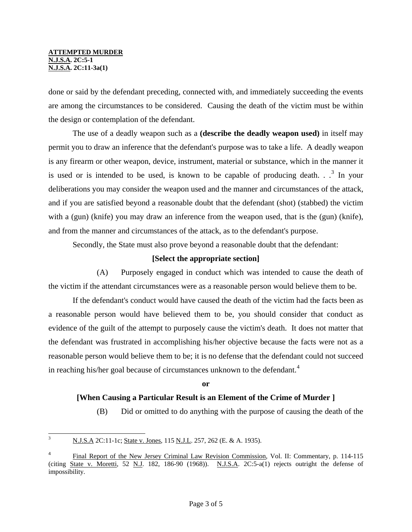done or said by the defendant preceding, connected with, and immediately succeeding the events are among the circumstances to be considered. Causing the death of the victim must be within the design or contemplation of the defendant.

 The use of a deadly weapon such as a **(describe the deadly weapon used)** in itself may permit you to draw an inference that the defendant's purpose was to take a life. A deadly weapon is any firearm or other weapon, device, instrument, material or substance, which in the manner it is used or is intended to be used, is known to be capable of producing death.  $3\pi$  $3\pi$  In your deliberations you may consider the weapon used and the manner and circumstances of the attack, and if you are satisfied beyond a reasonable doubt that the defendant (shot) (stabbed) the victim with a (gun) (knife) you may draw an inference from the weapon used, that is the (gun) (knife), and from the manner and circumstances of the attack, as to the defendant's purpose.

Secondly, the State must also prove beyond a reasonable doubt that the defendant:

### **[Select the appropriate section]**

 (A) Purposely engaged in conduct which was intended to cause the death of the victim if the attendant circumstances were as a reasonable person would believe them to be.

 If the defendant's conduct would have caused the death of the victim had the facts been as a reasonable person would have believed them to be, you should consider that conduct as evidence of the guilt of the attempt to purposely cause the victim's death. It does not matter that the defendant was frustrated in accomplishing his/her objective because the facts were not as a reasonable person would believe them to be; it is no defense that the defendant could not succeed in reaching his/her goal because of circumstances unknown to the defendant.<sup>[4](#page-2-0)</sup>

#### **or**

### **[When Causing a Particular Result is an Element of the Crime of Murder ]**

(B) Did or omitted to do anything with the purpose of causing the death of the

<span id="page-2-1"></span> 3 N.J.S.A 2C:11-1c; State v. Jones, 115 N.J.L. 257, 262 (E. & A. 1935).

<span id="page-2-0"></span><sup>4</sup> Final Report of the New Jersey Criminal Law Revision Commission, Vol. II: Commentary, p. 114-115 (citing State v. Moretti, 52 N.J. 182, 186-90 (1968)). N.J.S.A. 2C:5-a(1) rejects outright the defense of impossibility.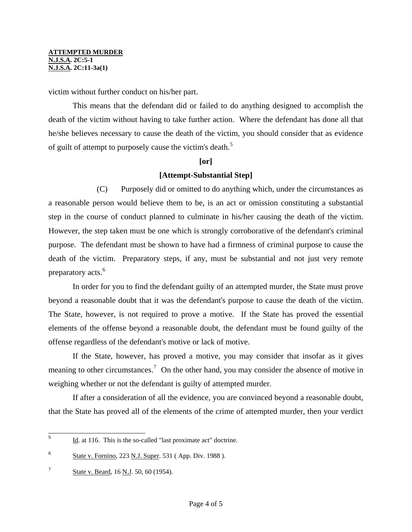victim without further conduct on his/her part.

 This means that the defendant did or failed to do anything designed to accomplish the death of the victim without having to take further action. Where the defendant has done all that he/she believes necessary to cause the death of the victim, you should consider that as evidence of guilt of attempt to purposely cause the victim's death.<sup>[5](#page-2-1)</sup>

#### **[or]**

## **[Attempt-Substantial Step]**

 (C) Purposely did or omitted to do anything which, under the circumstances as a reasonable person would believe them to be, is an act or omission constituting a substantial step in the course of conduct planned to culminate in his/her causing the death of the victim. However, the step taken must be one which is strongly corroborative of the defendant's criminal purpose. The defendant must be shown to have had a firmness of criminal purpose to cause the death of the victim. Preparatory steps, if any, must be substantial and not just very remote preparatory acts.<sup>[6](#page-3-0)</sup>

 In order for you to find the defendant guilty of an attempted murder, the State must prove beyond a reasonable doubt that it was the defendant's purpose to cause the death of the victim. The State, however, is not required to prove a motive. If the State has proved the essential elements of the offense beyond a reasonable doubt, the defendant must be found guilty of the offense regardless of the defendant's motive or lack of motive.

If the State, however, has proved a motive, you may consider that insofar as it gives meaning to other circumstances.<sup>[7](#page-3-1)</sup> On the other hand, you may consider the absence of motive in weighing whether or not the defendant is guilty of attempted murder.

 If after a consideration of all the evidence, you are convinced beyond a reasonable doubt, that the State has proved all of the elements of the crime of attempted murder, then your verdict

 5 Id. at 116. This is the so-called "last proximate act" doctrine.

<span id="page-3-0"></span><sup>6</sup> State v. Fornino, 223 N.J. Super. 531 (App. Div. 1988).

<span id="page-3-1"></span><sup>7</sup> State v. Beard, 16 N.J. 50, 60 (1954).